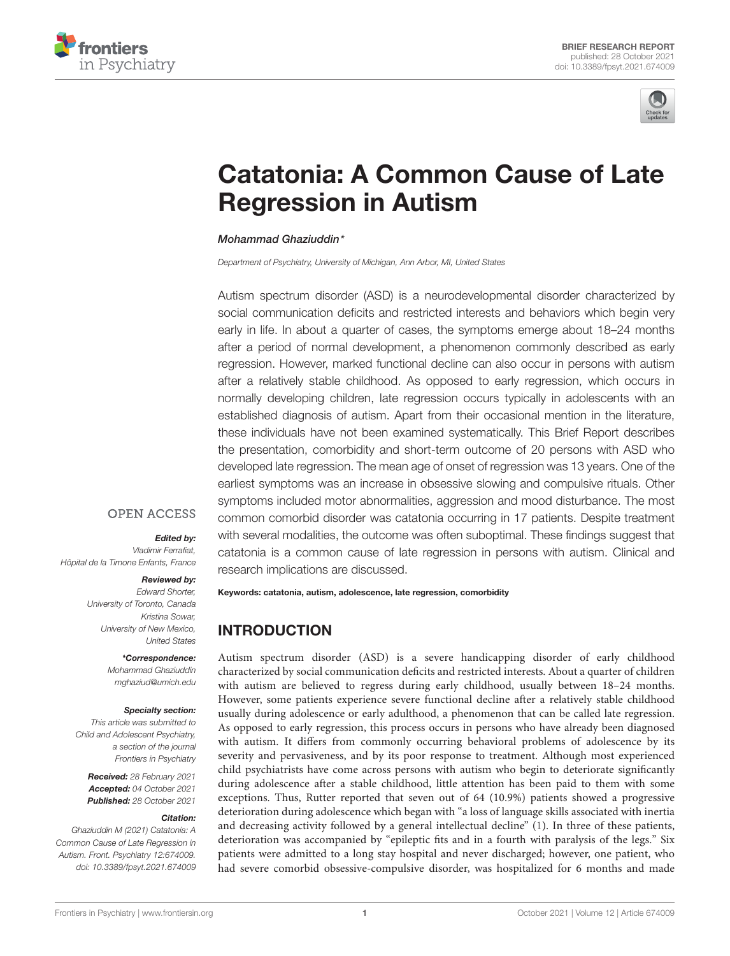



# [Catatonia: A Common Cause of Late](https://www.frontiersin.org/articles/10.3389/fpsyt.2021.674009/full) Regression in Autism

#### Mohammad Ghaziuddin\*

Department of Psychiatry, University of Michigan, Ann Arbor, MI, United States

Autism spectrum disorder (ASD) is a neurodevelopmental disorder characterized by social communication deficits and restricted interests and behaviors which begin very early in life. In about a quarter of cases, the symptoms emerge about 18–24 months after a period of normal development, a phenomenon commonly described as early regression. However, marked functional decline can also occur in persons with autism after a relatively stable childhood. As opposed to early regression, which occurs in normally developing children, late regression occurs typically in adolescents with an established diagnosis of autism. Apart from their occasional mention in the literature, these individuals have not been examined systematically. This Brief Report describes the presentation, comorbidity and short-term outcome of 20 persons with ASD who developed late regression. The mean age of onset of regression was 13 years. One of the earliest symptoms was an increase in obsessive slowing and compulsive rituals. Other symptoms included motor abnormalities, aggression and mood disturbance. The most common comorbid disorder was catatonia occurring in 17 patients. Despite treatment with several modalities, the outcome was often suboptimal. These findings suggest that catatonia is a common cause of late regression in persons with autism. Clinical and research implications are discussed.

### **OPEN ACCESS**

#### Edited by:

Vladimir Ferrafiat, Hôpital de la Timone Enfants, France

#### Reviewed by:

Edward Shorter, University of Toronto, Canada Kristina Sowar, University of New Mexico, United States

> \*Correspondence: Mohammad Ghaziuddin [mghaziud@umich.edu](mailto:mghaziud@umich.edu)

#### Specialty section:

This article was submitted to Child and Adolescent Psychiatry, a section of the journal Frontiers in Psychiatry

Received: 28 February 2021 Accepted: 04 October 2021 Published: 28 October 2021

#### Citation:

Ghaziuddin M (2021) Catatonia: A Common Cause of Late Regression in Autism. Front. Psychiatry 12:674009. doi: [10.3389/fpsyt.2021.674009](https://doi.org/10.3389/fpsyt.2021.674009) Keywords: catatonia, autism, adolescence, late regression, comorbidity

## INTRODUCTION

Autism spectrum disorder (ASD) is a severe handicapping disorder of early childhood characterized by social communication deficits and restricted interests. About a quarter of children with autism are believed to regress during early childhood, usually between 18–24 months. However, some patients experience severe functional decline after a relatively stable childhood usually during adolescence or early adulthood, a phenomenon that can be called late regression. As opposed to early regression, this process occurs in persons who have already been diagnosed with autism. It differs from commonly occurring behavioral problems of adolescence by its severity and pervasiveness, and by its poor response to treatment. Although most experienced child psychiatrists have come across persons with autism who begin to deteriorate significantly during adolescence after a stable childhood, little attention has been paid to them with some exceptions. Thus, Rutter reported that seven out of 64 (10.9%) patients showed a progressive deterioration during adolescence which began with "a loss of language skills associated with inertia and decreasing activity followed by a general intellectual decline" [\(1\)](#page-4-0). In three of these patients, deterioration was accompanied by "epileptic fits and in a fourth with paralysis of the legs." Six patients were admitted to a long stay hospital and never discharged; however, one patient, who had severe comorbid obsessive-compulsive disorder, was hospitalized for 6 months and made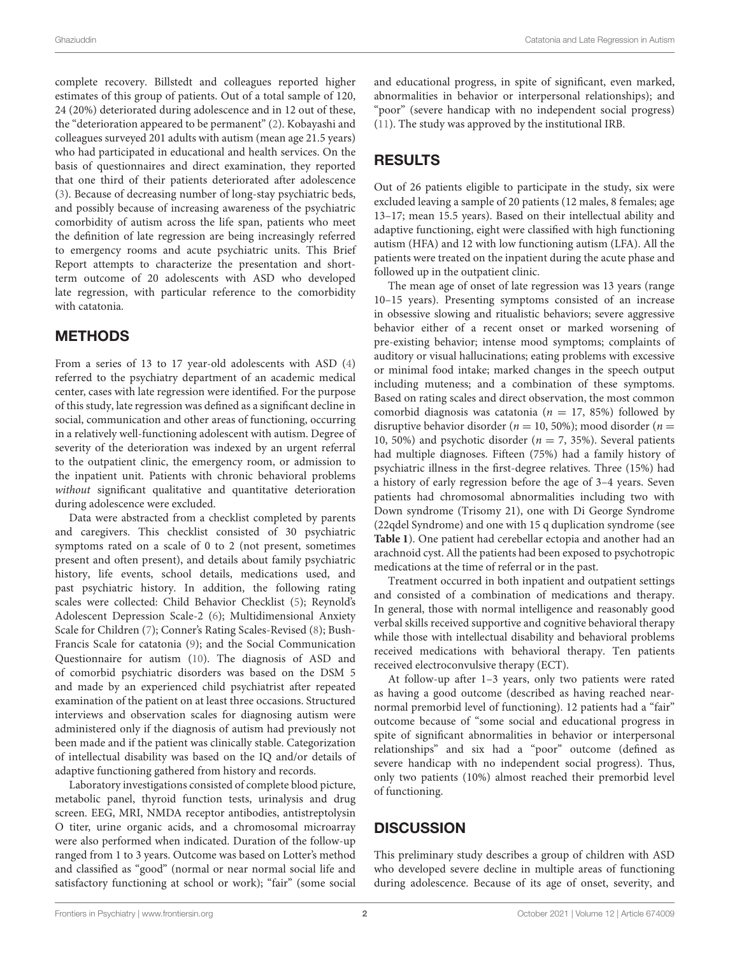complete recovery. Billstedt and colleagues reported higher estimates of this group of patients. Out of a total sample of 120, 24 (20%) deteriorated during adolescence and in 12 out of these, the "deterioration appeared to be permanent" [\(2\)](#page-4-1). Kobayashi and colleagues surveyed 201 adults with autism (mean age 21.5 years) who had participated in educational and health services. On the basis of questionnaires and direct examination, they reported that one third of their patients deteriorated after adolescence [\(3\)](#page-4-2). Because of decreasing number of long-stay psychiatric beds, and possibly because of increasing awareness of the psychiatric comorbidity of autism across the life span, patients who meet the definition of late regression are being increasingly referred to emergency rooms and acute psychiatric units. This Brief Report attempts to characterize the presentation and shortterm outcome of 20 adolescents with ASD who developed late regression, with particular reference to the comorbidity with catatonia.

## **METHODS**

From a series of 13 to 17 year-old adolescents with ASD [\(4\)](#page-4-3) referred to the psychiatry department of an academic medical center, cases with late regression were identified. For the purpose of this study, late regression was defined as a significant decline in social, communication and other areas of functioning, occurring in a relatively well-functioning adolescent with autism. Degree of severity of the deterioration was indexed by an urgent referral to the outpatient clinic, the emergency room, or admission to the inpatient unit. Patients with chronic behavioral problems without significant qualitative and quantitative deterioration during adolescence were excluded.

Data were abstracted from a checklist completed by parents and caregivers. This checklist consisted of 30 psychiatric symptoms rated on a scale of 0 to 2 (not present, sometimes present and often present), and details about family psychiatric history, life events, school details, medications used, and past psychiatric history. In addition, the following rating scales were collected: Child Behavior Checklist [\(5\)](#page-4-4); Reynold's Adolescent Depression Scale-2 [\(6\)](#page-4-5); Multidimensional Anxiety Scale for Children [\(7\)](#page-4-6); Conner's Rating Scales-Revised [\(8\)](#page-4-7); Bush-Francis Scale for catatonia [\(9\)](#page-4-8); and the Social Communication Questionnaire for autism [\(10\)](#page-4-9). The diagnosis of ASD and of comorbid psychiatric disorders was based on the DSM 5 and made by an experienced child psychiatrist after repeated examination of the patient on at least three occasions. Structured interviews and observation scales for diagnosing autism were administered only if the diagnosis of autism had previously not been made and if the patient was clinically stable. Categorization of intellectual disability was based on the IQ and/or details of adaptive functioning gathered from history and records.

Laboratory investigations consisted of complete blood picture, metabolic panel, thyroid function tests, urinalysis and drug screen. EEG, MRI, NMDA receptor antibodies, antistreptolysin O titer, urine organic acids, and a chromosomal microarray were also performed when indicated. Duration of the follow-up ranged from 1 to 3 years. Outcome was based on Lotter's method and classified as "good" (normal or near normal social life and satisfactory functioning at school or work); "fair" (some social and educational progress, in spite of significant, even marked, abnormalities in behavior or interpersonal relationships); and "poor" (severe handicap with no independent social progress) [\(11\)](#page-4-10). The study was approved by the institutional IRB.

# RESULTS

Out of 26 patients eligible to participate in the study, six were excluded leaving a sample of 20 patients (12 males, 8 females; age 13–17; mean 15.5 years). Based on their intellectual ability and adaptive functioning, eight were classified with high functioning autism (HFA) and 12 with low functioning autism (LFA). All the patients were treated on the inpatient during the acute phase and followed up in the outpatient clinic.

The mean age of onset of late regression was 13 years (range 10–15 years). Presenting symptoms consisted of an increase in obsessive slowing and ritualistic behaviors; severe aggressive behavior either of a recent onset or marked worsening of pre-existing behavior; intense mood symptoms; complaints of auditory or visual hallucinations; eating problems with excessive or minimal food intake; marked changes in the speech output including muteness; and a combination of these symptoms. Based on rating scales and direct observation, the most common comorbid diagnosis was catatonia ( $n = 17, 85\%$ ) followed by disruptive behavior disorder ( $n = 10, 50\%$ ); mood disorder ( $n =$ 10, 50%) and psychotic disorder ( $n = 7$ , 35%). Several patients had multiple diagnoses. Fifteen (75%) had a family history of psychiatric illness in the first-degree relatives. Three (15%) had a history of early regression before the age of 3–4 years. Seven patients had chromosomal abnormalities including two with Down syndrome (Trisomy 21), one with Di George Syndrome (22qdel Syndrome) and one with 15 q duplication syndrome (see **[Table 1](#page-2-0)**). One patient had cerebellar ectopia and another had an arachnoid cyst. All the patients had been exposed to psychotropic medications at the time of referral or in the past.

Treatment occurred in both inpatient and outpatient settings and consisted of a combination of medications and therapy. In general, those with normal intelligence and reasonably good verbal skills received supportive and cognitive behavioral therapy while those with intellectual disability and behavioral problems received medications with behavioral therapy. Ten patients received electroconvulsive therapy (ECT).

At follow-up after 1–3 years, only two patients were rated as having a good outcome (described as having reached nearnormal premorbid level of functioning). 12 patients had a "fair" outcome because of "some social and educational progress in spite of significant abnormalities in behavior or interpersonal relationships" and six had a "poor" outcome (defined as severe handicap with no independent social progress). Thus, only two patients (10%) almost reached their premorbid level of functioning.

## **DISCUSSION**

This preliminary study describes a group of children with ASD who developed severe decline in multiple areas of functioning during adolescence. Because of its age of onset, severity, and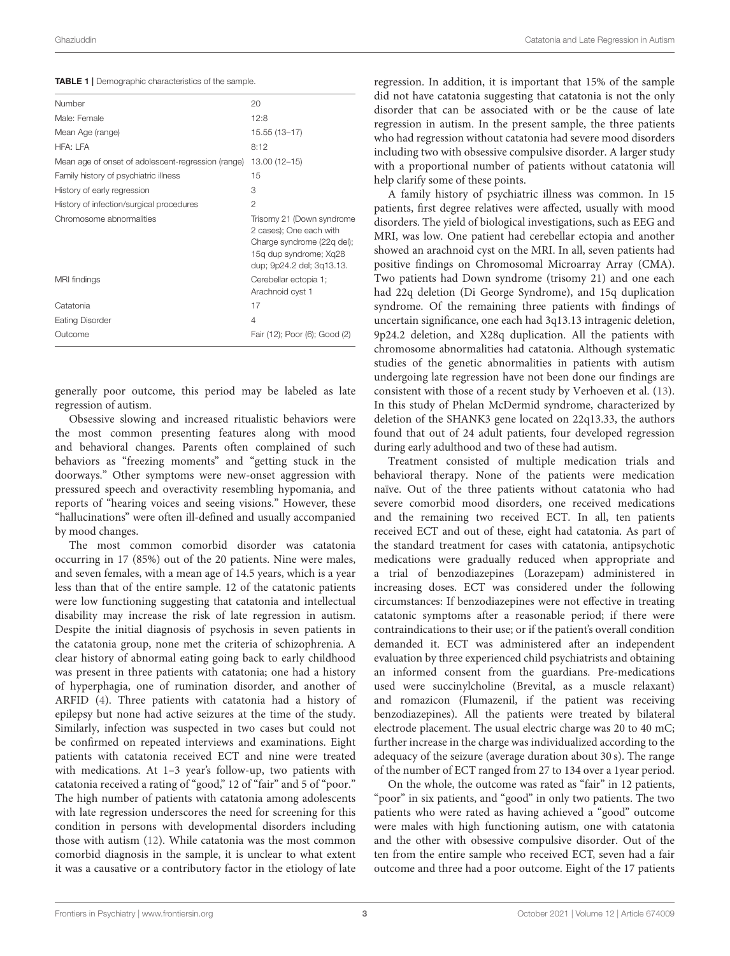<span id="page-2-0"></span>TABLE 1 | Demographic characteristics of the sample.

| Number                                             | 20                                                                                                                                        |
|----------------------------------------------------|-------------------------------------------------------------------------------------------------------------------------------------------|
| Male: Female                                       | 12:8                                                                                                                                      |
| Mean Age (range)                                   | 15.55 (13-17)                                                                                                                             |
| HFA: LFA                                           | 8:12                                                                                                                                      |
| Mean age of onset of adolescent-regression (range) | 13.00 (12-15)                                                                                                                             |
| Family history of psychiatric illness              | 15                                                                                                                                        |
| History of early regression                        | 3                                                                                                                                         |
| History of infection/surgical procedures           | $\overline{2}$                                                                                                                            |
| Chromosome abnormalities                           | Trisomy 21 (Down syndrome<br>2 cases); One each with<br>Charge syndrome (22q del);<br>15g dup syndrome; Xg28<br>dup; 9p24.2 del; 3q13.13. |
| MRI findings                                       | Cerebellar ectopia 1;<br>Arachnoid cyst 1                                                                                                 |
| Catatonia                                          | 17                                                                                                                                        |
| <b>Eating Disorder</b>                             | $\overline{4}$                                                                                                                            |
| Outcome                                            | Fair (12); Poor (6); Good (2)                                                                                                             |

generally poor outcome, this period may be labeled as late regression of autism.

Obsessive slowing and increased ritualistic behaviors were the most common presenting features along with mood and behavioral changes. Parents often complained of such behaviors as "freezing moments" and "getting stuck in the doorways." Other symptoms were new-onset aggression with pressured speech and overactivity resembling hypomania, and reports of "hearing voices and seeing visions." However, these "hallucinations" were often ill-defined and usually accompanied by mood changes.

The most common comorbid disorder was catatonia occurring in 17 (85%) out of the 20 patients. Nine were males, and seven females, with a mean age of 14.5 years, which is a year less than that of the entire sample. 12 of the catatonic patients were low functioning suggesting that catatonia and intellectual disability may increase the risk of late regression in autism. Despite the initial diagnosis of psychosis in seven patients in the catatonia group, none met the criteria of schizophrenia. A clear history of abnormal eating going back to early childhood was present in three patients with catatonia; one had a history of hyperphagia, one of rumination disorder, and another of ARFID [\(4\)](#page-4-3). Three patients with catatonia had a history of epilepsy but none had active seizures at the time of the study. Similarly, infection was suspected in two cases but could not be confirmed on repeated interviews and examinations. Eight patients with catatonia received ECT and nine were treated with medications. At 1–3 year's follow-up, two patients with catatonia received a rating of "good," 12 of "fair" and 5 of "poor." The high number of patients with catatonia among adolescents with late regression underscores the need for screening for this condition in persons with developmental disorders including those with autism [\(12\)](#page-4-11). While catatonia was the most common comorbid diagnosis in the sample, it is unclear to what extent it was a causative or a contributory factor in the etiology of late

regression. In addition, it is important that 15% of the sample did not have catatonia suggesting that catatonia is not the only disorder that can be associated with or be the cause of late regression in autism. In the present sample, the three patients who had regression without catatonia had severe mood disorders including two with obsessive compulsive disorder. A larger study with a proportional number of patients without catatonia will help clarify some of these points.

A family history of psychiatric illness was common. In 15 patients, first degree relatives were affected, usually with mood disorders. The yield of biological investigations, such as EEG and MRI, was low. One patient had cerebellar ectopia and another showed an arachnoid cyst on the MRI. In all, seven patients had positive findings on Chromosomal Microarray Array (CMA). Two patients had Down syndrome (trisomy 21) and one each had 22q deletion (Di George Syndrome), and 15q duplication syndrome. Of the remaining three patients with findings of uncertain significance, one each had 3q13.13 intragenic deletion, 9p24.2 deletion, and X28q duplication. All the patients with chromosome abnormalities had catatonia. Although systematic studies of the genetic abnormalities in patients with autism undergoing late regression have not been done our findings are consistent with those of a recent study by Verhoeven et al. [\(13\)](#page-4-12). In this study of Phelan McDermid syndrome, characterized by deletion of the SHANK3 gene located on 22q13.33, the authors found that out of 24 adult patients, four developed regression during early adulthood and two of these had autism.

Treatment consisted of multiple medication trials and behavioral therapy. None of the patients were medication naïve. Out of the three patients without catatonia who had severe comorbid mood disorders, one received medications and the remaining two received ECT. In all, ten patients received ECT and out of these, eight had catatonia. As part of the standard treatment for cases with catatonia, antipsychotic medications were gradually reduced when appropriate and a trial of benzodiazepines (Lorazepam) administered in increasing doses. ECT was considered under the following circumstances: If benzodiazepines were not effective in treating catatonic symptoms after a reasonable period; if there were contraindications to their use; or if the patient's overall condition demanded it. ECT was administered after an independent evaluation by three experienced child psychiatrists and obtaining an informed consent from the guardians. Pre-medications used were succinylcholine (Brevital, as a muscle relaxant) and romazicon (Flumazenil, if the patient was receiving benzodiazepines). All the patients were treated by bilateral electrode placement. The usual electric charge was 20 to 40 mC; further increase in the charge was individualized according to the adequacy of the seizure (average duration about 30 s). The range of the number of ECT ranged from 27 to 134 over a 1year period.

On the whole, the outcome was rated as "fair" in 12 patients, "poor" in six patients, and "good" in only two patients. The two patients who were rated as having achieved a "good" outcome were males with high functioning autism, one with catatonia and the other with obsessive compulsive disorder. Out of the ten from the entire sample who received ECT, seven had a fair outcome and three had a poor outcome. Eight of the 17 patients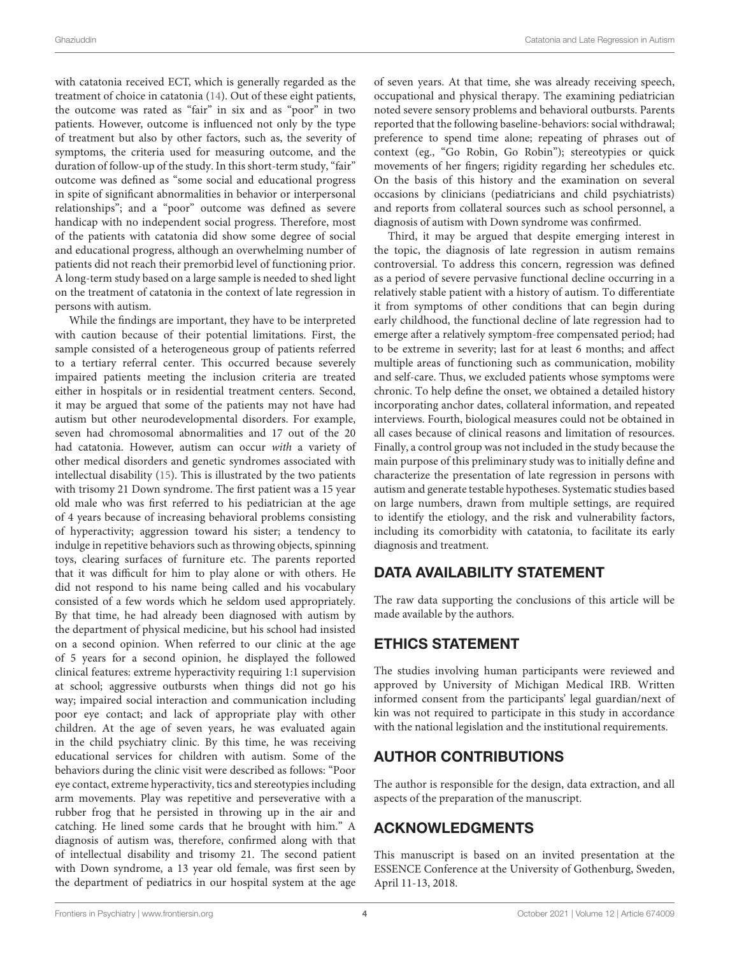with catatonia received ECT, which is generally regarded as the treatment of choice in catatonia [\(14\)](#page-4-13). Out of these eight patients, the outcome was rated as "fair" in six and as "poor" in two patients. However, outcome is influenced not only by the type of treatment but also by other factors, such as, the severity of symptoms, the criteria used for measuring outcome, and the duration of follow-up of the study. In this short-term study, "fair" outcome was defined as "some social and educational progress in spite of significant abnormalities in behavior or interpersonal relationships"; and a "poor" outcome was defined as severe handicap with no independent social progress. Therefore, most of the patients with catatonia did show some degree of social and educational progress, although an overwhelming number of patients did not reach their premorbid level of functioning prior. A long-term study based on a large sample is needed to shed light on the treatment of catatonia in the context of late regression in persons with autism.

While the findings are important, they have to be interpreted with caution because of their potential limitations. First, the sample consisted of a heterogeneous group of patients referred to a tertiary referral center. This occurred because severely impaired patients meeting the inclusion criteria are treated either in hospitals or in residential treatment centers. Second, it may be argued that some of the patients may not have had autism but other neurodevelopmental disorders. For example, seven had chromosomal abnormalities and 17 out of the 20 had catatonia. However, autism can occur with a variety of other medical disorders and genetic syndromes associated with intellectual disability [\(15\)](#page-4-14). This is illustrated by the two patients with trisomy 21 Down syndrome. The first patient was a 15 year old male who was first referred to his pediatrician at the age of 4 years because of increasing behavioral problems consisting of hyperactivity; aggression toward his sister; a tendency to indulge in repetitive behaviors such as throwing objects, spinning toys, clearing surfaces of furniture etc. The parents reported that it was difficult for him to play alone or with others. He did not respond to his name being called and his vocabulary consisted of a few words which he seldom used appropriately. By that time, he had already been diagnosed with autism by the department of physical medicine, but his school had insisted on a second opinion. When referred to our clinic at the age of 5 years for a second opinion, he displayed the followed clinical features: extreme hyperactivity requiring 1:1 supervision at school; aggressive outbursts when things did not go his way; impaired social interaction and communication including poor eye contact; and lack of appropriate play with other children. At the age of seven years, he was evaluated again in the child psychiatry clinic. By this time, he was receiving educational services for children with autism. Some of the behaviors during the clinic visit were described as follows: "Poor eye contact, extreme hyperactivity, tics and stereotypies including arm movements. Play was repetitive and perseverative with a rubber frog that he persisted in throwing up in the air and catching. He lined some cards that he brought with him." A diagnosis of autism was, therefore, confirmed along with that of intellectual disability and trisomy 21. The second patient with Down syndrome, a 13 year old female, was first seen by the department of pediatrics in our hospital system at the age of seven years. At that time, she was already receiving speech, occupational and physical therapy. The examining pediatrician noted severe sensory problems and behavioral outbursts. Parents reported that the following baseline-behaviors: social withdrawal; preference to spend time alone; repeating of phrases out of context (eg., "Go Robin, Go Robin"); stereotypies or quick movements of her fingers; rigidity regarding her schedules etc. On the basis of this history and the examination on several occasions by clinicians (pediatricians and child psychiatrists) and reports from collateral sources such as school personnel, a diagnosis of autism with Down syndrome was confirmed.

Third, it may be argued that despite emerging interest in the topic, the diagnosis of late regression in autism remains controversial. To address this concern, regression was defined as a period of severe pervasive functional decline occurring in a relatively stable patient with a history of autism. To differentiate it from symptoms of other conditions that can begin during early childhood, the functional decline of late regression had to emerge after a relatively symptom-free compensated period; had to be extreme in severity; last for at least 6 months; and affect multiple areas of functioning such as communication, mobility and self-care. Thus, we excluded patients whose symptoms were chronic. To help define the onset, we obtained a detailed history incorporating anchor dates, collateral information, and repeated interviews. Fourth, biological measures could not be obtained in all cases because of clinical reasons and limitation of resources. Finally, a control group was not included in the study because the main purpose of this preliminary study was to initially define and characterize the presentation of late regression in persons with autism and generate testable hypotheses. Systematic studies based on large numbers, drawn from multiple settings, are required to identify the etiology, and the risk and vulnerability factors, including its comorbidity with catatonia, to facilitate its early diagnosis and treatment.

## DATA AVAILABILITY STATEMENT

The raw data supporting the conclusions of this article will be made available by the authors.

# ETHICS STATEMENT

The studies involving human participants were reviewed and approved by University of Michigan Medical IRB. Written informed consent from the participants' legal guardian/next of kin was not required to participate in this study in accordance with the national legislation and the institutional requirements.

# AUTHOR CONTRIBUTIONS

The author is responsible for the design, data extraction, and all aspects of the preparation of the manuscript.

# ACKNOWLEDGMENTS

This manuscript is based on an invited presentation at the ESSENCE Conference at the University of Gothenburg, Sweden, April 11-13, 2018.